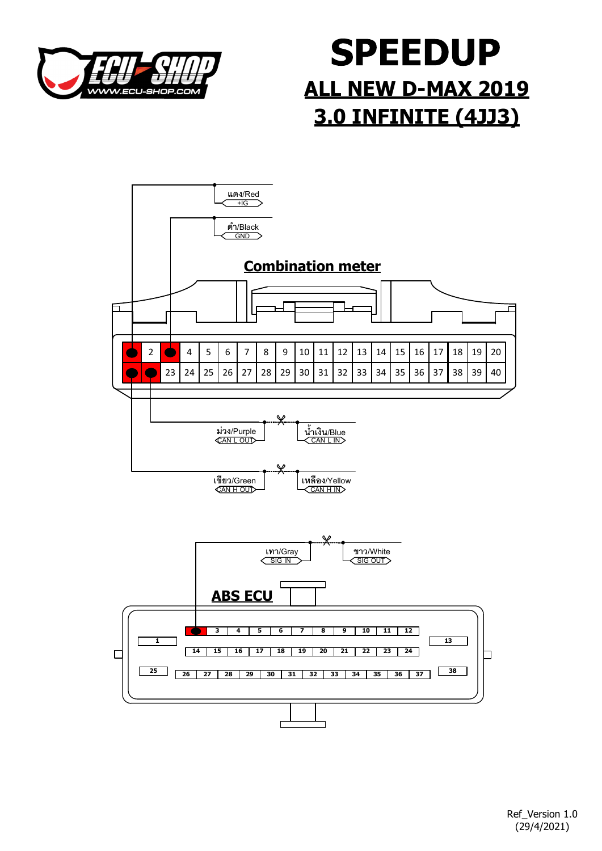

## **SPEEDUP** ALL NEW D-MAX 2019 3.0 INFINITE (4JJ3)

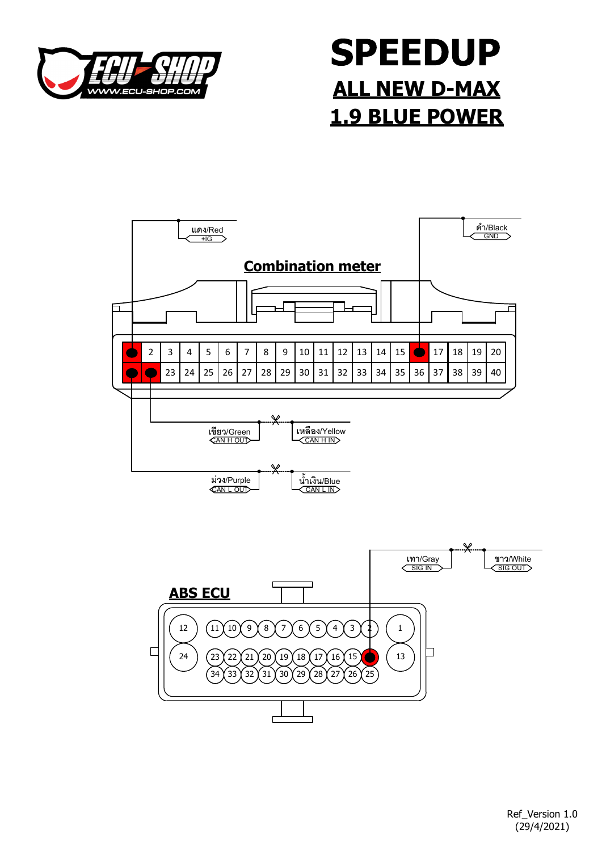

## **SPEEDUP** ALL NEW D-MAX 1.9 BLUE POWER